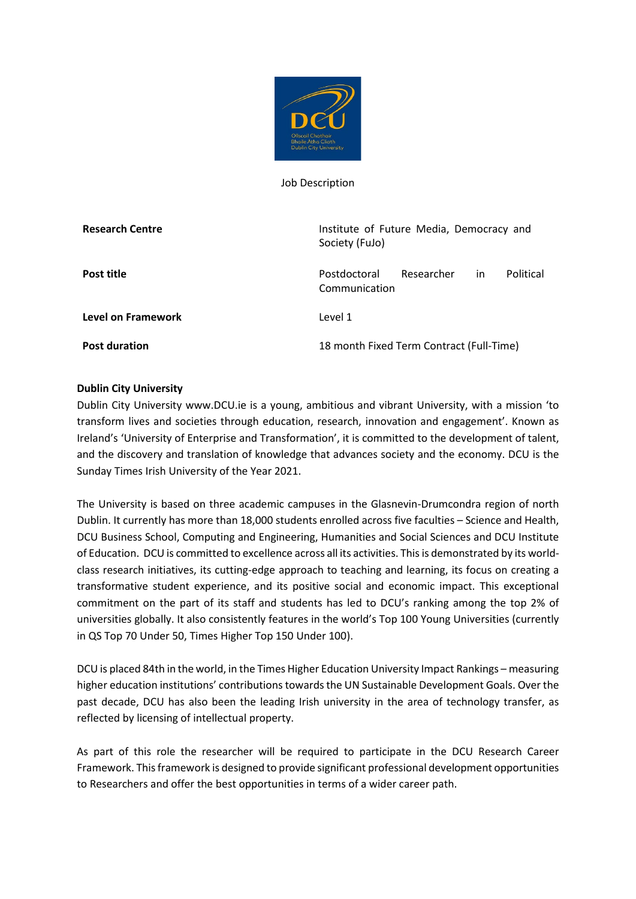

Job Description

| <b>Research Centre</b> | Institute of Future Media, Democracy and<br>Society (FuJo)     |
|------------------------|----------------------------------------------------------------|
| Post title             | Political<br>Postdoctoral<br>Researcher<br>in<br>Communication |
| Level on Framework     | Level 1                                                        |
| <b>Post duration</b>   | 18 month Fixed Term Contract (Full-Time)                       |

## **Dublin City University**

Dublin City University www.DCU.ie is a young, ambitious and vibrant University, with a mission 'to transform lives and societies through education, research, innovation and engagement'. Known as Ireland's 'University of Enterprise and Transformation', it is committed to the development of talent, and the discovery and translation of knowledge that advances society and the economy. DCU is the Sunday Times Irish University of the Year 2021.

The University is based on three academic campuses in the Glasnevin-Drumcondra region of north Dublin. It currently has more than 18,000 students enrolled across five faculties – Science and Health, DCU Business School, Computing and Engineering, Humanities and Social Sciences and DCU Institute of Education. DCU is committed to excellence across all its activities. This is demonstrated by its worldclass research initiatives, its cutting-edge approach to teaching and learning, its focus on creating a transformative student experience, and its positive social and economic impact. This exceptional commitment on the part of its staff and students has led to DCU's ranking among the top 2% of universities globally. It also consistently features in the world's Top 100 Young Universities (currently in QS Top 70 Under 50, Times Higher Top 150 Under 100).

DCU is placed 84th in the world, in the Times Higher Education University Impact Rankings – measuring higher education institutions' contributions towards the UN Sustainable Development Goals. Over the past decade, DCU has also been the leading Irish university in the area of technology transfer, as reflected by licensing of intellectual property.

As part of this role the researcher will be required to participate in the DCU Research Career Framework. This framework is designed to provide significant professional development opportunities to Researchers and offer the best opportunities in terms of a wider career path.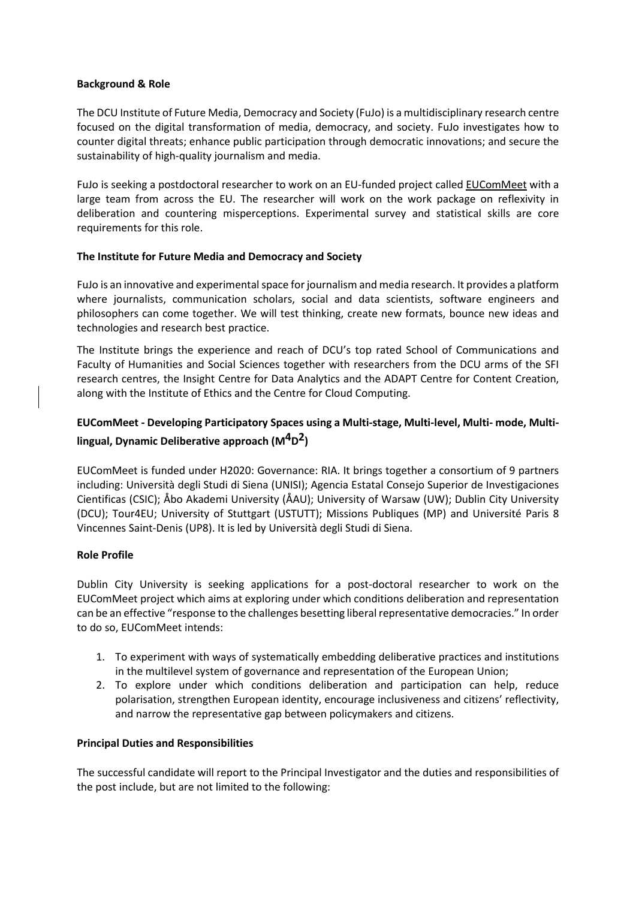#### **Background & Role**

The DCU Institute of Future Media, Democracy and Society (FuJo) is a multidisciplinary research centre focused on the digital transformation of media, democracy, and society. FuJo investigates how to counter digital threats; enhance public participation through democratic innovations; and secure the sustainability of high-quality journalism and media.

FuJo is seeking a postdoctoral researcher to work on an EU-funded project called [EUComMeet](https://www.eucommeet.eu/) with a large team from across the EU. The researcher will work on the work package on reflexivity in deliberation and countering misperceptions. Experimental survey and statistical skills are core requirements for this role.

## **The Institute for Future Media and Democracy and Society**

FuJo is an innovative and experimental space for journalism and media research. It provides a platform where journalists, communication scholars, social and data scientists, software engineers and philosophers can come together. We will test thinking, create new formats, bounce new ideas and technologies and research best practice.

The Institute brings the experience and reach of DCU's top rated School of Communications and Faculty of Humanities and Social Sciences together with researchers from the DCU arms of the SFI research centres, the Insight Centre for Data Analytics and the ADAPT Centre for Content Creation, along with the Institute of Ethics and the Centre for Cloud Computing.

# **EUComMeet - Developing Participatory Spaces using a Multi-stage, Multi-level, Multi- mode, Multilingual, Dynamic Deliberative approach (M4D2)**

EUComMeet is funded under H2020: Governance: RIA. It brings together a consortium of 9 partners including: Università degli Studi di Siena (UNISI); Agencia Estatal Consejo Superior de Investigaciones Cientificas (CSIC); Åbo Akademi University (ÅAU); University of Warsaw (UW); Dublin City University (DCU); Tour4EU; University of Stuttgart (USTUTT); Missions Publiques (MP) and Université Paris 8 Vincennes Saint-Denis (UP8). It is led by Università degli Studi di Siena.

### **Role Profile**

Dublin City University is seeking applications for a post-doctoral researcher to work on the EUComMeet project which aims at exploring under which conditions deliberation and representation can be an effective "response to the challenges besetting liberal representative democracies." In order to do so, EUComMeet intends:

- 1. To experiment with ways of systematically embedding deliberative practices and institutions in the multilevel system of governance and representation of the European Union;
- 2. To explore under which conditions deliberation and participation can help, reduce polarisation, strengthen European identity, encourage inclusiveness and citizens' reflectivity, and narrow the representative gap between policymakers and citizens.

### **Principal Duties and Responsibilities**

The successful candidate will report to the Principal Investigator and the duties and responsibilities of the post include, but are not limited to the following: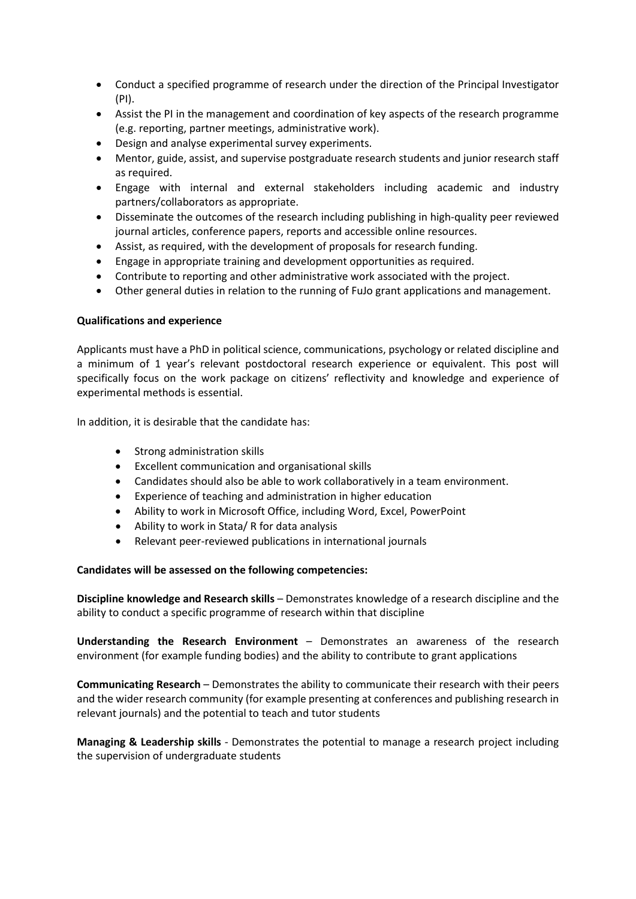- Conduct a specified programme of research under the direction of the Principal Investigator (PI).
- Assist the PI in the management and coordination of key aspects of the research programme (e.g. reporting, partner meetings, administrative work).
- Design and analyse experimental survey experiments.
- Mentor, guide, assist, and supervise postgraduate research students and junior research staff as required.
- Engage with internal and external stakeholders including academic and industry partners/collaborators as appropriate.
- Disseminate the outcomes of the research including publishing in high-quality peer reviewed journal articles, conference papers, reports and accessible online resources.
- Assist, as required, with the development of proposals for research funding.
- Engage in appropriate training and development opportunities as required.
- Contribute to reporting and other administrative work associated with the project.
- Other general duties in relation to the running of FuJo grant applications and management.

### **Qualifications and experience**

Applicants must have a PhD in political science, communications, psychology or related discipline and a minimum of 1 year's relevant postdoctoral research experience or equivalent. This post will specifically focus on the work package on citizens' reflectivity and knowledge and experience of experimental methods is essential.

In addition, it is desirable that the candidate has:

- Strong administration skills
- Excellent communication and organisational skills
- Candidates should also be able to work collaboratively in a team environment.
- Experience of teaching and administration in higher education
- Ability to work in Microsoft Office, including Word, Excel, PowerPoint
- Ability to work in Stata/ R for data analysis
- Relevant peer-reviewed publications in international journals

### **Candidates will be assessed on the following competencies:**

**Discipline knowledge and Research skills** – Demonstrates knowledge of a research discipline and the ability to conduct a specific programme of research within that discipline

**Understanding the Research Environment** – Demonstrates an awareness of the research environment (for example funding bodies) and the ability to contribute to grant applications

**Communicating Research** – Demonstrates the ability to communicate their research with their peers and the wider research community (for example presenting at conferences and publishing research in relevant journals) and the potential to teach and tutor students

**Managing & Leadership skills** - Demonstrates the potential to manage a research project including the supervision of undergraduate students